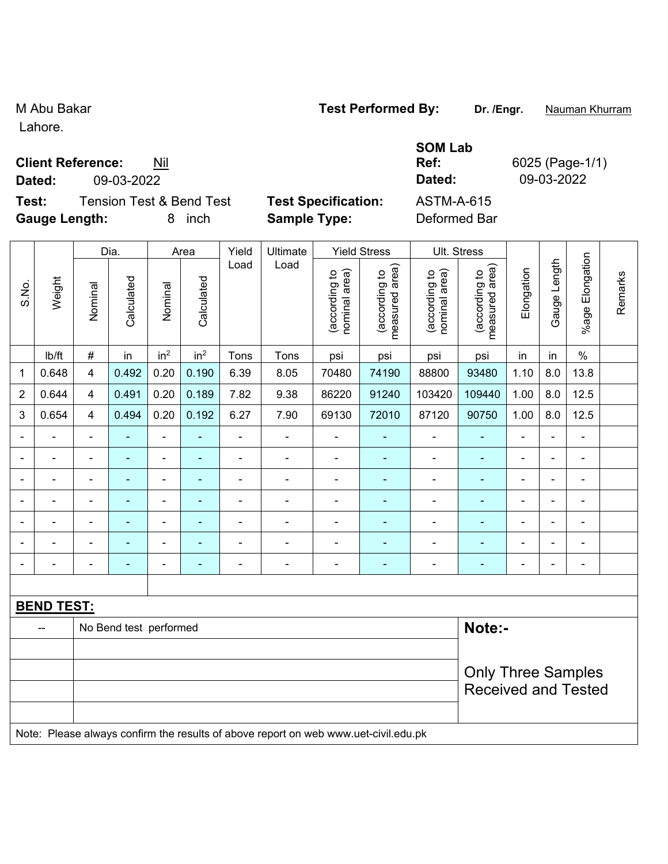Lahore.

### **Client Reference:** Nil

**Dated:** 09-03-2022 **Dated:** 09-03-2022 **Test:** Tension Test & Bend Test **Test Specification:** ASTM-A-615 **Gauge Length:** 8 inch **Sample Type:** Deformed Bar

|                |                   |                           | Dia.                   |                          | Area            | Yield          | Ultimate                                                                            |                                | <b>Yield Stress</b>             | Ult. Stress                    |                                 |                |                |                           |         |
|----------------|-------------------|---------------------------|------------------------|--------------------------|-----------------|----------------|-------------------------------------------------------------------------------------|--------------------------------|---------------------------------|--------------------------------|---------------------------------|----------------|----------------|---------------------------|---------|
| S.No.          | Weight            | Nominal                   | Calculated             | Nominal                  | Calculated      | Load           | Load                                                                                | nominal area)<br>(according to | measured area)<br>(according to | (according to<br>nominal area) | measured area)<br>(according to | Elongation     | Gauge Length   | Elongation<br>$%$ age $ $ | Remarks |
|                | lb/ft             | $\#$                      | in                     | in <sup>2</sup>          | in <sup>2</sup> | Tons           | Tons                                                                                | psi                            | psi                             | psi                            | psi                             | in             | in             | $\%$                      |         |
| $\mathbf{1}$   | 0.648             | 4                         | 0.492                  | 0.20                     | 0.190           | 6.39           | 8.05                                                                                | 70480                          | 74190                           | 88800                          | 93480                           | 1.10           | 8.0            | 13.8                      |         |
| $\overline{2}$ | 0.644             | 4                         | 0.491                  | 0.20                     | 0.189           | 7.82           | 9.38                                                                                | 86220                          | 91240                           | 103420                         | 109440                          | 1.00           | 8.0            | 12.5                      |         |
| 3              | 0.654             | 4                         | 0.494                  | 0.20                     | 0.192           | 6.27           | 7.90                                                                                | 69130                          | 72010                           | 87120                          | 90750                           | 1.00           | 8.0            | 12.5                      |         |
|                |                   | $\overline{a}$            |                        | $\blacksquare$           | ÷,              | $\blacksquare$ |                                                                                     |                                | ٠                               | $\blacksquare$                 | ä,                              |                | ÷              | ä,                        |         |
|                |                   | $\blacksquare$            |                        | $\blacksquare$           | $\blacksquare$  | $\blacksquare$ |                                                                                     |                                | ۰                               |                                | $\blacksquare$                  | $\blacksquare$ | $\overline{a}$ | $\overline{\phantom{a}}$  |         |
|                |                   | $\blacksquare$            |                        | $\overline{\phantom{a}}$ | ÷               | $\blacksquare$ |                                                                                     | $\blacksquare$                 | ۰                               | $\overline{\phantom{a}}$       | ۰                               | $\blacksquare$ | $\frac{1}{2}$  | $\overline{\phantom{a}}$  |         |
|                | ÷,                | $\blacksquare$            |                        | $\blacksquare$           | $\blacksquare$  | $\blacksquare$ | $\blacksquare$                                                                      | $\blacksquare$                 | $\blacksquare$                  | $\overline{\phantom{a}}$       | $\blacksquare$                  | $\blacksquare$ | $\blacksquare$ | $\blacksquare$            |         |
|                |                   | $\overline{\phantom{a}}$  | $\blacksquare$         | $\blacksquare$           | $\blacksquare$  | $\blacksquare$ | $\blacksquare$                                                                      | $\blacksquare$                 | $\blacksquare$                  | $\overline{\phantom{a}}$       | ÷                               |                | ÷,             | $\overline{\phantom{a}}$  |         |
|                |                   |                           |                        | $\blacksquare$           |                 |                |                                                                                     |                                | $\blacksquare$                  |                                |                                 |                |                |                           |         |
|                | ۳                 | $\blacksquare$            |                        | $\blacksquare$           | ÷               | $\blacksquare$ | $\blacksquare$                                                                      | $\blacksquare$                 | ÷                               | $\blacksquare$                 | ÷                               | $\blacksquare$ | ÷,             | $\blacksquare$            |         |
|                |                   |                           |                        |                          |                 |                |                                                                                     |                                |                                 |                                |                                 |                |                |                           |         |
|                | <b>BEND TEST:</b> |                           |                        |                          |                 |                |                                                                                     |                                |                                 |                                |                                 |                |                |                           |         |
|                | --                |                           | No Bend test performed |                          |                 |                |                                                                                     |                                |                                 |                                | Note:-                          |                |                |                           |         |
|                |                   |                           |                        |                          |                 |                |                                                                                     |                                |                                 |                                |                                 |                |                |                           |         |
|                |                   | <b>Only Three Samples</b> |                        |                          |                 |                |                                                                                     |                                |                                 |                                |                                 |                |                |                           |         |
|                |                   |                           |                        |                          |                 |                |                                                                                     |                                |                                 |                                | <b>Received and Tested</b>      |                |                |                           |         |
|                |                   |                           |                        |                          |                 |                | Note: Please always confirm the results of above report on web www.uet-civil.edu.pk |                                |                                 |                                |                                 |                |                |                           |         |

### M Abu Bakar **Test Performed By:** Dr. /Engr. **Nauman Khurram**

**SOM Lab Ref:** 6025 (Page-1/1)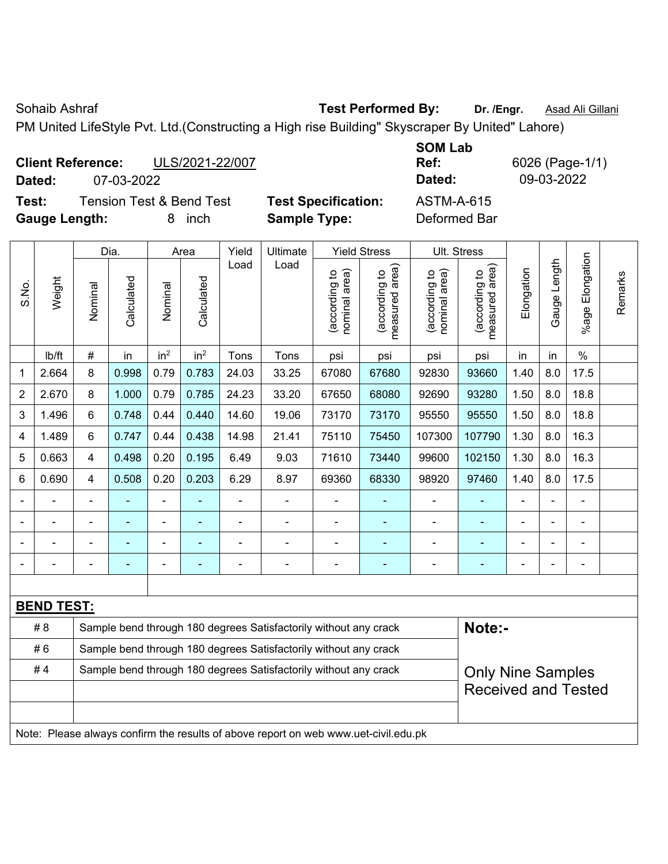Sohaib Ashraf **Test Performed By:** Dr. /Engr. **Asad Ali Gillani** Cohaib Ashraf **Mangel Associates** 

PM United LifeStyle Pvt. Ltd.(Constructing a High rise Building" Skyscraper By United" Lahore)

| <b>Client Reference:</b> |            | ULS/2021-22/007 |
|--------------------------|------------|-----------------|
| Dated:                   | 07-03-2022 |                 |

**Test:** Tension Test & Bend Test **Test Specification:** ASTM-A-615 **Gauge Length:** 8 inch **Sample Type:** Deformed Bar

**SOM Lab Ref:** 6026 (Page-1/1) **Dated:** 07-03-2022 **Dated:** 09-03-2022

|                |                   |                                                                  | Dia.           |                              | Area            | Yield          | Ultimate                                                                            |                                | <b>Yield Stress</b>                         |                                | Ult. Stress                                 |                |                |                          |         |
|----------------|-------------------|------------------------------------------------------------------|----------------|------------------------------|-----------------|----------------|-------------------------------------------------------------------------------------|--------------------------------|---------------------------------------------|--------------------------------|---------------------------------------------|----------------|----------------|--------------------------|---------|
| S.No.          | Weight            | Nominal                                                          | Calculated     | Nominal                      | Calculated      | Load           | Load                                                                                | nominal area)<br>(according to | (according to<br>measured area)<br>measured | nominal area)<br>(according to | (according to<br>neasured area)<br>measured | Elongation     | Gauge Length   | Elongation<br>%age       | Remarks |
|                | Ib/ft             | $\#$                                                             | in             | in <sup>2</sup>              | in <sup>2</sup> | Tons           | Tons                                                                                | psi                            | psi                                         | psi                            | psi                                         | in             | in             | $\%$                     |         |
| 1              | 2.664             | 8                                                                | 0.998          | 0.79                         | 0.783           | 24.03          | 33.25                                                                               | 67080                          | 67680                                       | 92830                          | 93660                                       | 1.40           | 8.0            | 17.5                     |         |
| $\overline{2}$ | 2.670             | 8                                                                | 1.000          | 0.79                         | 0.785           | 24.23          | 33.20                                                                               | 67650                          | 68080                                       | 92690                          | 93280                                       | 1.50           | 8.0            | 18.8                     |         |
| 3              | 1.496             | 6                                                                | 0.748          | 0.44                         | 0.440           | 14.60          | 19.06                                                                               | 73170                          | 73170                                       | 95550                          | 95550                                       | 1.50           | 8.0            | 18.8                     |         |
| 4              | 1.489             | 6                                                                | 0.747          | 0.44                         | 0.438           | 14.98          | 21.41                                                                               | 75110                          | 75450                                       | 107300                         | 107790                                      | 1.30           | 8.0            | 16.3                     |         |
| 5              | 0.663             | $\overline{\mathbf{4}}$                                          | 0.498          | 0.20                         | 0.195           | 6.49           | 9.03                                                                                | 71610                          | 73440                                       | 99600                          | 102150                                      | 1.30           | 8.0            | 16.3                     |         |
| 6              | 0.690             | $\overline{\mathbf{4}}$                                          | 0.508          | 0.20                         | 0.203           | 6.29           | 8.97                                                                                | 69360                          | 68330                                       | 98920                          | 97460                                       | 1.40           | 8.0            | 17.5                     |         |
|                |                   |                                                                  |                | $\blacksquare$               |                 | $\blacksquare$ | $\blacksquare$                                                                      | $\overline{a}$                 |                                             | $\blacksquare$                 |                                             |                |                | L,                       |         |
|                |                   | ۰                                                                | $\blacksquare$ | $\qquad \qquad \blacksquare$ | ٠               | $\blacksquare$ | $\overline{\phantom{a}}$                                                            | $\blacksquare$                 | $\blacksquare$                              | $\blacksquare$                 | $\blacksquare$                              | $\blacksquare$ | $\blacksquare$ | $\overline{\phantom{a}}$ |         |
|                |                   | $\blacksquare$                                                   | $\blacksquare$ | ÷,                           | ۰               | ä,             | ä,                                                                                  | $\blacksquare$                 | $\blacksquare$                              | $\blacksquare$                 | $\blacksquare$                              | $\blacksquare$ |                | $\overline{\phantom{a}}$ |         |
|                |                   | $\blacksquare$                                                   | $\blacksquare$ | ÷,                           | $\blacksquare$  | ÷              | $\blacksquare$                                                                      | $\blacksquare$                 |                                             | $\blacksquare$                 | $\overline{\phantom{a}}$                    | $\blacksquare$ |                | $\blacksquare$           |         |
|                |                   |                                                                  |                |                              |                 |                |                                                                                     |                                |                                             |                                |                                             |                |                |                          |         |
|                | <b>BEND TEST:</b> |                                                                  |                |                              |                 |                |                                                                                     |                                |                                             |                                |                                             |                |                |                          |         |
|                | # 8               |                                                                  |                |                              |                 |                | Sample bend through 180 degrees Satisfactorily without any crack                    |                                |                                             |                                | Note:-                                      |                |                |                          |         |
|                | #6                |                                                                  |                |                              |                 |                | Sample bend through 180 degrees Satisfactorily without any crack                    |                                |                                             |                                |                                             |                |                |                          |         |
|                | #4                | Sample bend through 180 degrees Satisfactorily without any crack |                | <b>Only Nine Samples</b>     |                 |                |                                                                                     |                                |                                             |                                |                                             |                |                |                          |         |
|                |                   |                                                                  |                |                              |                 |                |                                                                                     |                                |                                             |                                | <b>Received and Tested</b>                  |                |                |                          |         |
|                |                   |                                                                  |                |                              |                 |                |                                                                                     |                                |                                             |                                |                                             |                |                |                          |         |
|                |                   |                                                                  |                |                              |                 |                | Note: Please always confirm the results of above report on web www.uet-civil.edu.pk |                                |                                             |                                |                                             |                |                |                          |         |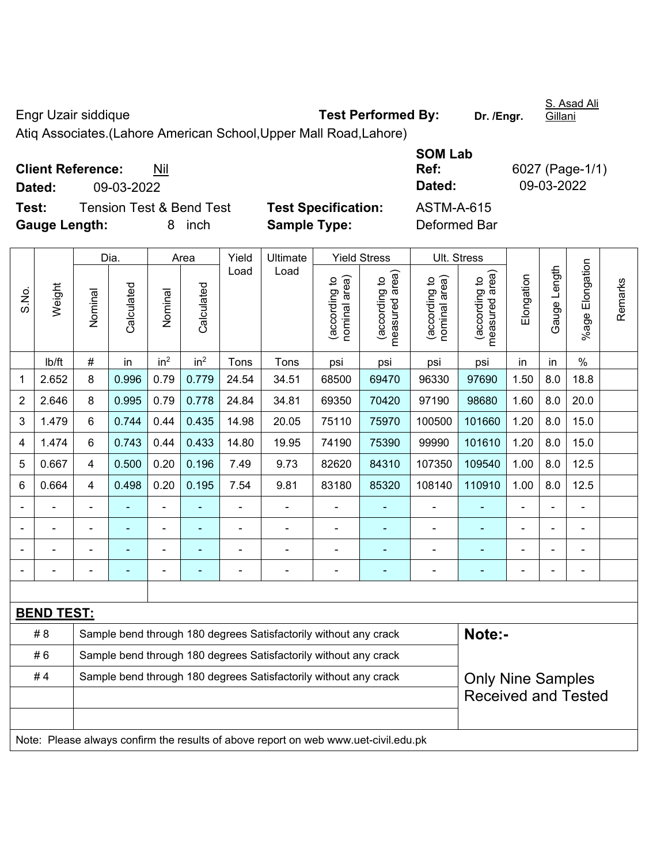## Engr Uzair siddique **Test Performed By: Dr. /Engr.**

S. Asad Ali Gillani

Atiq Associates.(Lahore American School,Upper Mall Road,Lahore)

| <b>Client Reference:</b> | Nil |
|--------------------------|-----|
|--------------------------|-----|

**Test:** Tension Test & Bend Test **Test Specification:** ASTM-A-615 **Gauge Length:** 8 inch **Sample Type:** Deformed Bar

**SOM Lab Ref:** 6027 (Page-1/1) **Dated:** 09-03-2022 **Dated:** 09-03-2022

|                |                   |                | Dia.                                                             |                 | Area                     | Yield          | Ultimate                                                                            |                               | <b>Yield Stress</b>                         | Ult. Stress                    |                                 |                |                |                                    |         |
|----------------|-------------------|----------------|------------------------------------------------------------------|-----------------|--------------------------|----------------|-------------------------------------------------------------------------------------|-------------------------------|---------------------------------------------|--------------------------------|---------------------------------|----------------|----------------|------------------------------------|---------|
| S.No.          | Weight            | Nominal        | Calculated                                                       | Nominal         | Calculated               | Load           | Load                                                                                | nominal area)<br>according to | (according to<br>neasured area)<br>measured | (according to<br>nominal area) | (according to<br>measured area) | Elongation     | Gauge Length   | Elongation<br>$%$ age $\mathsf{F}$ | Remarks |
|                | lb/ft             | $\#$           | in                                                               | in <sup>2</sup> | in <sup>2</sup>          | Tons           | Tons                                                                                | psi                           | psi                                         | psi                            | psi                             | in             | in             | $\frac{0}{0}$                      |         |
| 1              | 2.652             | 8              | 0.996                                                            | 0.79            | 0.779                    | 24.54          | 34.51                                                                               | 68500                         | 69470                                       | 96330                          | 97690                           | 1.50           | 8.0            | 18.8                               |         |
| $\overline{2}$ | 2.646             | 8              | 0.995                                                            | 0.79            | 0.778                    | 24.84          | 34.81                                                                               | 69350                         | 70420                                       | 97190                          | 98680                           | 1.60           | 8.0            | 20.0                               |         |
| 3              | 1.479             | 6              | 0.744                                                            | 0.44            | 0.435                    | 14.98          | 20.05                                                                               | 75110                         | 75970                                       | 100500                         | 101660                          | 1.20           | 8.0            | 15.0                               |         |
| 4              | 1.474             | 6              | 0.743                                                            | 0.44            | 0.433                    | 14.80          | 19.95                                                                               | 74190                         | 75390                                       | 99990                          | 101610                          | 1.20           | 8.0            | 15.0                               |         |
| 5              | 0.667             | $\overline{4}$ | 0.500                                                            | 0.20            | 0.196                    | 7.49           | 9.73                                                                                | 82620                         | 84310                                       | 107350                         | 109540                          | 1.00           | 8.0            | 12.5                               |         |
| 6              | 0.664             | $\overline{4}$ | 0.498                                                            | 0.20            | 0.195                    | 7.54           | 9.81                                                                                | 83180                         | 85320                                       | 108140                         | 110910                          | 1.00           | 8.0            | 12.5                               |         |
|                |                   |                | ÷                                                                | ä,              |                          | $\blacksquare$ | ä,                                                                                  |                               |                                             | ä,                             | $\blacksquare$                  | $\blacksquare$ |                | ä,                                 |         |
|                |                   |                |                                                                  |                 |                          |                |                                                                                     |                               |                                             |                                |                                 |                |                |                                    |         |
|                |                   |                |                                                                  | -               |                          |                |                                                                                     |                               |                                             | $\blacksquare$                 |                                 |                |                |                                    |         |
| $\blacksquare$ | $\blacksquare$    | $\blacksquare$ | ÷,                                                               | ä,              | ۰                        | $\blacksquare$ | $\blacksquare$                                                                      | Ē,                            | $\overline{\phantom{a}}$                    | $\blacksquare$                 | ٠                               | $\blacksquare$ | $\blacksquare$ | $\blacksquare$                     |         |
|                |                   |                |                                                                  |                 |                          |                |                                                                                     |                               |                                             |                                |                                 |                |                |                                    |         |
|                | <b>BEND TEST:</b> |                |                                                                  |                 |                          |                |                                                                                     |                               |                                             |                                |                                 |                |                |                                    |         |
|                | # 8               |                |                                                                  |                 |                          |                | Sample bend through 180 degrees Satisfactorily without any crack                    |                               |                                             |                                | Note:-                          |                |                |                                    |         |
|                | #6                |                |                                                                  |                 |                          |                | Sample bend through 180 degrees Satisfactorily without any crack                    |                               |                                             |                                |                                 |                |                |                                    |         |
|                | #4                |                | Sample bend through 180 degrees Satisfactorily without any crack |                 | <b>Only Nine Samples</b> |                |                                                                                     |                               |                                             |                                |                                 |                |                |                                    |         |
|                |                   |                |                                                                  |                 |                          |                |                                                                                     |                               |                                             |                                | <b>Received and Tested</b>      |                |                |                                    |         |
|                |                   |                |                                                                  |                 |                          |                |                                                                                     |                               |                                             |                                |                                 |                |                |                                    |         |
|                |                   |                |                                                                  |                 |                          |                | Note: Please always confirm the results of above report on web www.uet-civil.edu.pk |                               |                                             |                                |                                 |                |                |                                    |         |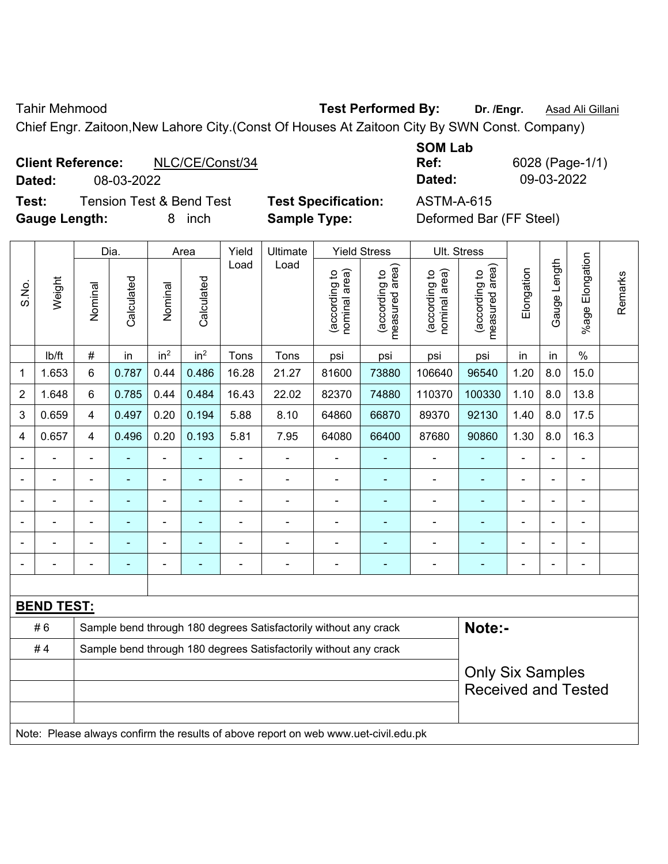Tahir Mehmood **Test Performed By: Dr. /Engr.** Asad Ali Gillani

Chief Engr. Zaitoon,New Lahore City.(Const Of Houses At Zaitoon City By SWN Const. Company)

| <b>Client Reference:</b> |            | NLC/CE/Const/34 | Ref:   | 6028 (Page-1 |
|--------------------------|------------|-----------------|--------|--------------|
| Dated:                   | 08-03-2022 |                 | Dated: | 09-03-2022   |

**Test:** Tension Test & Bend Test **Test Specification:** ASTM-A-615 **Gauge Length:** 8 inch **Sample Type:** Deformed Bar (FF Steel)

| <b>SOM Lab</b> |                 |
|----------------|-----------------|
| Ref:           | 6028 (Page-1/1) |
| Dated:         | 09-03-2022      |

| 6028 (Page-1/1) |
|-----------------|
| 09-03-2022      |

|                |                   |                                                                  | Dia.       |                 | Area            | Yield                    | Ultimate                                                                            |                                | <b>Yield Stress</b>             |                                | Ult. Stress                                           |                |              |                         |         |
|----------------|-------------------|------------------------------------------------------------------|------------|-----------------|-----------------|--------------------------|-------------------------------------------------------------------------------------|--------------------------------|---------------------------------|--------------------------------|-------------------------------------------------------|----------------|--------------|-------------------------|---------|
| S.No.          | Weight            | Nominal                                                          | Calculated | Nominal         | Calculated      | Load                     | Load                                                                                | nominal area)<br>(according to | measured area)<br>(according to | nominal area)<br>(according to | measured area)<br>(according to                       | Elongation     | Gauge Length | Elongation<br>$%$ age I | Remarks |
|                | lb/ft             | #                                                                | in         | in <sup>2</sup> | in <sup>2</sup> | Tons                     | Tons                                                                                | psi                            | psi                             | psi                            | psi                                                   | in             | in           | $\%$                    |         |
| 1              | 1.653             | 6                                                                | 0.787      | 0.44            | 0.486           | 16.28                    | 21.27                                                                               | 81600                          | 73880                           | 106640                         | 96540                                                 | 1.20           | 8.0          | 15.0                    |         |
| $\overline{2}$ | 1.648             | 6                                                                | 0.785      | 0.44            | 0.484           | 16.43                    | 22.02                                                                               | 82370                          | 74880                           | 110370                         | 100330                                                | 1.10           | 8.0          | 13.8                    |         |
| $\mathbf{3}$   | 0.659             | 4                                                                | 0.497      | 0.20            | 0.194           | 5.88                     | 8.10                                                                                | 64860                          | 66870                           | 89370                          | 92130                                                 | 1.40           | 8.0          | 17.5                    |         |
| 4              | 0.657             | 4                                                                | 0.496      | 0.20            | 0.193           | 5.81                     | 7.95                                                                                | 64080                          | 66400                           | 87680                          | 90860                                                 | 1.30           | 8.0          | 16.3                    |         |
|                |                   | $\blacksquare$                                                   |            | $\blacksquare$  |                 |                          | $\blacksquare$                                                                      |                                | $\blacksquare$                  |                                | ۰                                                     | $\blacksquare$ |              | L,                      |         |
|                |                   |                                                                  |            |                 |                 |                          |                                                                                     | ä,                             |                                 |                                |                                                       |                |              |                         |         |
|                |                   | $\blacksquare$                                                   |            |                 | $\blacksquare$  | $\blacksquare$           | $\blacksquare$                                                                      | $\blacksquare$                 | $\overline{\phantom{0}}$        | $\blacksquare$                 | $\overline{\phantom{0}}$                              | $\blacksquare$ |              | $\overline{a}$          |         |
|                |                   | $\blacksquare$                                                   |            | $\blacksquare$  |                 |                          |                                                                                     | $\blacksquare$                 | ٠                               | $\blacksquare$                 | ۰                                                     |                | Ē,           | ÷                       |         |
| $\blacksquare$ |                   | $\blacksquare$                                                   |            | $\blacksquare$  |                 | $\overline{\phantom{a}}$ | $\blacksquare$                                                                      | ä,                             | ۰                               | $\blacksquare$                 | ۰                                                     | $\blacksquare$ | ÷            | $\blacksquare$          |         |
| $\blacksquare$ |                   | $\blacksquare$                                                   |            | $\blacksquare$  | $\blacksquare$  | $\blacksquare$           | $\blacksquare$                                                                      | ä,                             | $\blacksquare$                  | $\blacksquare$                 | ۰                                                     | $\blacksquare$ |              | $\blacksquare$          |         |
|                |                   |                                                                  |            |                 |                 |                          |                                                                                     |                                |                                 |                                |                                                       |                |              |                         |         |
|                | <b>BEND TEST:</b> |                                                                  |            |                 |                 |                          |                                                                                     |                                |                                 |                                |                                                       |                |              |                         |         |
|                | #6                |                                                                  |            |                 |                 |                          | Sample bend through 180 degrees Satisfactorily without any crack                    |                                |                                 |                                | Note:-                                                |                |              |                         |         |
|                | #4                | Sample bend through 180 degrees Satisfactorily without any crack |            |                 |                 |                          |                                                                                     |                                |                                 |                                |                                                       |                |              |                         |         |
|                |                   |                                                                  |            |                 |                 |                          |                                                                                     |                                |                                 |                                | <b>Only Six Samples</b><br><b>Received and Tested</b> |                |              |                         |         |
|                |                   |                                                                  |            |                 |                 |                          | Note: Please always confirm the results of above report on web www.uet-civil.edu.pk |                                |                                 |                                |                                                       |                |              |                         |         |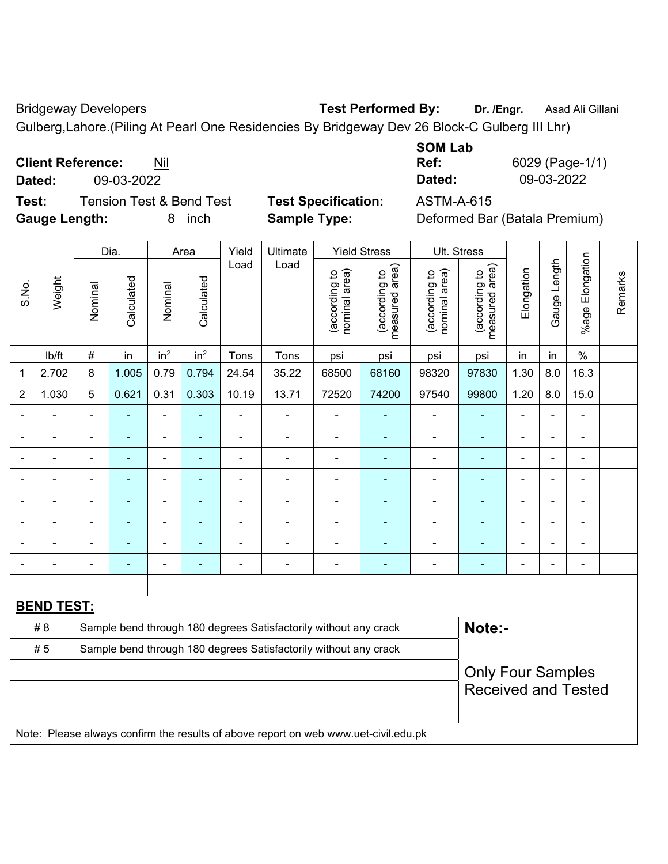Bridgeway Developers **Test Performed By:** Dr. /Engr. **Asad Ali Gillani Bridgeway Developers** 

Gulberg,Lahore.(Piling At Pearl One Residencies By Bridgeway Dev 26 Block-C Gulberg III Lhr)

**Client Reference:** Nil

**Dated:** 09-03-2022 **Dated:** 09-03-2022

**Test:** Tension Test & Bend Test **Test Specification:** ASTM-A-615 **Gauge Length:** 8 inch **Sample Type:** Deformed Bar (Batala Premium)

| <b>SOM Lab</b> |                 |
|----------------|-----------------|
| Ref:           | 6029 (Page-1/1) |
| Dated:         | 09-03-2022      |

|                          |                          |                          | Dia.           |                          | Area                                                             | Yield          | Ultimate                                                                            |                                | <b>Yield Stress</b>             |                                | Ult. Stress                                            |                |                          |                          |         |
|--------------------------|--------------------------|--------------------------|----------------|--------------------------|------------------------------------------------------------------|----------------|-------------------------------------------------------------------------------------|--------------------------------|---------------------------------|--------------------------------|--------------------------------------------------------|----------------|--------------------------|--------------------------|---------|
| S.No.                    | Weight                   | Nominal                  | Calculated     | Nominal                  | Calculated                                                       | Load           | Load                                                                                | nominal area)<br>(according to | (according to<br>measured area) | (according to<br>nominal area) | (according to<br>measured area)                        | Elongation     | Gauge Length             | Elongation<br>$%$ age    | Remarks |
|                          | lb/ft                    | $\#$                     | in             | in <sup>2</sup>          | in <sup>2</sup>                                                  | Tons           | Tons                                                                                | psi                            | psi                             | psi                            | psi                                                    | in             | in                       | $\%$                     |         |
| 1                        | 2.702                    | 8                        | 1.005          | 0.79                     | 0.794                                                            | 24.54          | 35.22                                                                               | 68500                          | 68160                           | 98320                          | 97830                                                  | 1.30           | 8.0                      | 16.3                     |         |
| $\overline{2}$           | 1.030                    | 5                        | 0.621          | 0.31                     | 0.303                                                            | 10.19          | 13.71                                                                               | 72520                          | 74200                           | 97540                          | 99800                                                  | 1.20           | 8.0                      | 15.0                     |         |
| $\blacksquare$           | $\overline{\phantom{0}}$ | $\blacksquare$           | ۰              | $\blacksquare$           | $\blacksquare$                                                   | $\blacksquare$ | $\blacksquare$                                                                      | $\overline{\phantom{a}}$       | ٠                               | $\overline{\phantom{0}}$       | $\blacksquare$                                         | $\blacksquare$ | $\overline{\phantom{0}}$ | $\blacksquare$           |         |
| $\overline{\phantom{a}}$ | $\blacksquare$           | $\blacksquare$           | ÷              | ÷,                       | $\blacksquare$                                                   | $\blacksquare$ | $\blacksquare$                                                                      | $\blacksquare$                 | ٠                               | $\blacksquare$                 | $\blacksquare$                                         | $\blacksquare$ | ä,                       | $\overline{\phantom{a}}$ |         |
|                          | $\frac{1}{2}$            | $\overline{\phantom{a}}$ | $\blacksquare$ | $\overline{\phantom{a}}$ |                                                                  | $\blacksquare$ | ÷                                                                                   | $\overline{\phantom{a}}$       | $\blacksquare$                  | $\blacksquare$                 | $\blacksquare$                                         | $\blacksquare$ | ÷                        | $\blacksquare$           |         |
|                          | $\blacksquare$           | $\blacksquare$           | $\blacksquare$ | ÷                        |                                                                  | $\blacksquare$ | $\blacksquare$                                                                      | ä,                             | $\blacksquare$                  | $\blacksquare$                 | ÷,                                                     | $\blacksquare$ |                          | $\blacksquare$           |         |
|                          | ä,                       |                          | ÷              | $\blacksquare$           |                                                                  |                | $\overline{a}$                                                                      | ä,                             | $\blacksquare$                  | $\blacksquare$                 | ÷,                                                     |                |                          | $\overline{a}$           |         |
|                          | ä,                       |                          |                | ۰                        |                                                                  |                | ÷                                                                                   | $\blacksquare$                 |                                 |                                |                                                        |                |                          |                          |         |
|                          |                          |                          |                | ۰                        |                                                                  |                |                                                                                     | $\blacksquare$                 |                                 | ٠                              | ۳                                                      |                |                          | $\blacksquare$           |         |
| $\blacksquare$           | $\overline{a}$           |                          | ۰              | $\blacksquare$           |                                                                  | $\blacksquare$ | $\blacksquare$                                                                      | $\blacksquare$                 | ٠                               | $\blacksquare$                 | $\blacksquare$                                         | $\blacksquare$ |                          | $\blacksquare$           |         |
|                          |                          |                          |                |                          |                                                                  |                |                                                                                     |                                |                                 |                                |                                                        |                |                          |                          |         |
|                          | <b>BEND TEST:</b>        |                          |                |                          |                                                                  |                |                                                                                     |                                |                                 |                                |                                                        |                |                          |                          |         |
|                          | # 8                      |                          |                |                          |                                                                  |                | Sample bend through 180 degrees Satisfactorily without any crack                    |                                |                                 |                                | Note:-                                                 |                |                          |                          |         |
|                          | #5                       |                          |                |                          | Sample bend through 180 degrees Satisfactorily without any crack |                |                                                                                     |                                |                                 |                                |                                                        |                |                          |                          |         |
|                          |                          |                          |                |                          |                                                                  |                |                                                                                     |                                |                                 |                                | <b>Only Four Samples</b><br><b>Received and Tested</b> |                |                          |                          |         |
|                          |                          |                          |                |                          |                                                                  |                | Note: Please always confirm the results of above report on web www.uet-civil.edu.pk |                                |                                 |                                |                                                        |                |                          |                          |         |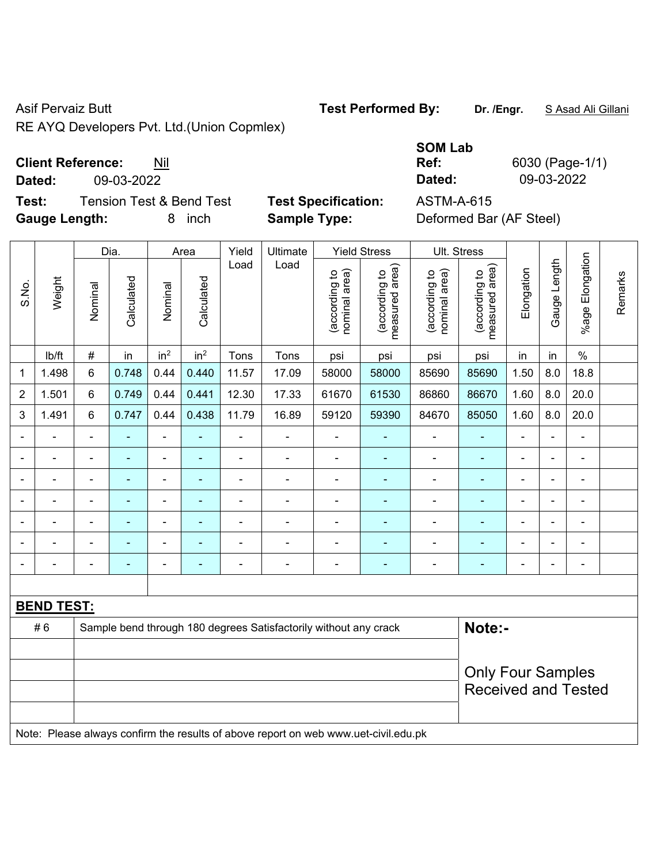RE AYQ Developers Pvt. Ltd.(Union Copmlex)

### **Client Reference:** Nil

**Dated:** 09-03-2022 **Dated:** 09-03-2022

**Test:** Tension Test & Bend Test **Test Specification:** ASTM-A-615 **Gauge Length:** 8 inch **Sample Type:** Deformed Bar (AF Steel)

|                |                   | Dia.<br>Area   |                          |                          | Yield                    | Ultimate                 |                                                                                     | <b>Yield Stress</b>            | Ult. Stress                     |                                |                                 |                |                |                              |         |
|----------------|-------------------|----------------|--------------------------|--------------------------|--------------------------|--------------------------|-------------------------------------------------------------------------------------|--------------------------------|---------------------------------|--------------------------------|---------------------------------|----------------|----------------|------------------------------|---------|
| S.No.          | Weight            | Nominal        | Calculated               | Nominal                  | Calculated               | Load                     | Load                                                                                | nominal area)<br>(according to | (according to<br>measured area) | nominal area)<br>(according to | (according to<br>measured area) | Elongation     | Gauge Length   | Elongation<br>$%$ age        | Remarks |
|                | lb/ft             | $\#$           | in                       | in <sup>2</sup>          | in <sup>2</sup>          | Tons                     | Tons                                                                                | psi                            | psi                             | psi                            | psi                             | in             | in             | $\%$                         |         |
| 1              | 1.498             | $\,6\,$        | 0.748                    | 0.44                     | 0.440                    | 11.57                    | 17.09                                                                               | 58000                          | 58000                           | 85690                          | 85690                           | 1.50           | 8.0            | 18.8                         |         |
| $\overline{2}$ | 1.501             | 6              | 0.749                    | 0.44                     | 0.441                    | 12.30                    | 17.33                                                                               | 61670                          | 61530                           | 86860                          | 86670                           | 1.60           | 8.0            | 20.0                         |         |
| 3              | 1.491             | $\,6\,$        | 0.747                    | 0.44                     | 0.438                    | 11.79                    | 16.89                                                                               | 59120                          | 59390                           | 84670                          | 85050                           | 1.60           | 8.0            | 20.0                         |         |
|                |                   | $\blacksquare$ | ÷,                       | $\blacksquare$           |                          | $\blacksquare$           | ÷,                                                                                  | $\blacksquare$                 |                                 | $\blacksquare$                 | $\blacksquare$                  | $\blacksquare$ |                | $\blacksquare$               |         |
| $\blacksquare$ | $\blacksquare$    | $\blacksquare$ | $\blacksquare$           | $\blacksquare$           | $\blacksquare$           | $\blacksquare$           | $\blacksquare$                                                                      | $\blacksquare$                 | $\blacksquare$                  | $\blacksquare$                 | $\blacksquare$                  | $\blacksquare$ |                | $\blacksquare$               |         |
|                |                   | $\blacksquare$ | ä,                       | $\blacksquare$           | $\overline{\phantom{a}}$ | $\blacksquare$           | ä,                                                                                  | ä,                             |                                 | ä,                             | $\blacksquare$                  | ä,             |                | ä,                           |         |
|                |                   | $\blacksquare$ |                          | $\blacksquare$           |                          | $\overline{\phantom{0}}$ | ÷                                                                                   | $\overline{a}$                 |                                 | $\blacksquare$                 |                                 | $\blacksquare$ |                | $\blacksquare$               |         |
| $\blacksquare$ |                   | $\blacksquare$ | $\overline{\phantom{0}}$ | $\overline{\phantom{a}}$ | $\overline{\phantom{a}}$ | $\overline{a}$           | ÷                                                                                   | $\blacksquare$                 | ٠                               | $\overline{\phantom{0}}$       | $\blacksquare$                  | $\blacksquare$ | $\blacksquare$ | $\blacksquare$               |         |
|                |                   | $\blacksquare$ | $\blacksquare$           | $\blacksquare$           | $\overline{\phantom{a}}$ | $\blacksquare$           | ÷                                                                                   | $\blacksquare$                 | ۰                               | $\blacksquare$                 | $\blacksquare$                  | $\blacksquare$ |                | $\qquad \qquad \blacksquare$ |         |
| $\blacksquare$ |                   | $\blacksquare$ | ä,                       | $\overline{\phantom{a}}$ | $\blacksquare$           | $\blacksquare$           | ä,                                                                                  | $\blacksquare$                 | ۰                               | $\blacksquare$                 | $\blacksquare$                  | ä,             |                | $\blacksquare$               |         |
|                |                   |                |                          |                          |                          |                          |                                                                                     |                                |                                 |                                |                                 |                |                |                              |         |
|                | <b>BEND TEST:</b> |                |                          |                          |                          |                          |                                                                                     |                                |                                 |                                |                                 |                |                |                              |         |
|                | #6                |                |                          |                          |                          |                          | Sample bend through 180 degrees Satisfactorily without any crack                    |                                |                                 |                                | Note:-                          |                |                |                              |         |
|                |                   |                |                          |                          |                          |                          |                                                                                     |                                |                                 |                                |                                 |                |                |                              |         |
|                |                   |                |                          |                          |                          |                          | <b>Only Four Samples</b>                                                            |                                |                                 |                                |                                 |                |                |                              |         |
|                |                   |                |                          |                          |                          |                          |                                                                                     |                                |                                 |                                | <b>Received and Tested</b>      |                |                |                              |         |
|                |                   |                |                          |                          |                          |                          |                                                                                     |                                |                                 |                                |                                 |                |                |                              |         |
|                |                   |                |                          |                          |                          |                          | Note: Please always confirm the results of above report on web www.uet-civil.edu.pk |                                |                                 |                                |                                 |                |                |                              |         |

# **SOM Lab Ref:** 6030 (Page-1/1)

Asif Pervaiz Butt **Test Performed By:** Dr. /Engr. **SAsad Ali Gillani** Collani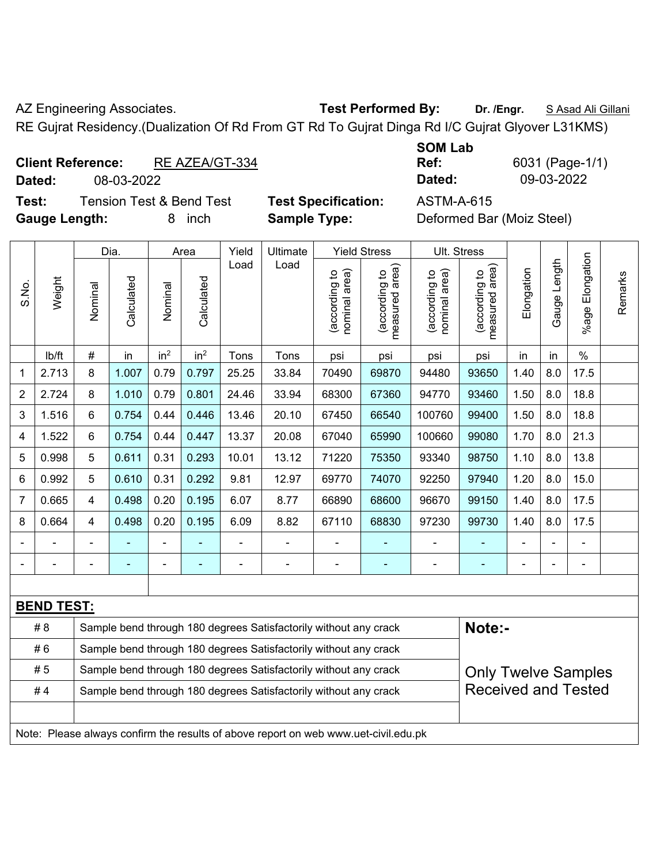AZ Engineering Associates. **Test Performed By:** Dr. /Engr. **SAsad Ali Gillani** 

RE Gujrat Residency.(Dualization Of Rd From GT Rd To Gujrat Dinga Rd I/C Gujrat Glyover L31KMS)

# **Client Reference:** RE AZEA/GT-334

**Dated:** 08-03-2022 **Dated:** 09-03-2022

**Test:** Tension Test & Bend Test **Test Specification:** ASTM-A-615 **Gauge Length:** 8 inch **Sample Type:** Deformed Bar (Moiz Steel)

**SOM Lab** 

**Ref:** 6031 (Page-1/1)

|                |                   | Dia.           |                | Area            |                                                                  | Yield | Ultimate                                                                            |                               | <b>Yield Stress</b>             |                                | Ult. Stress                     |            |                |                         |         |
|----------------|-------------------|----------------|----------------|-----------------|------------------------------------------------------------------|-------|-------------------------------------------------------------------------------------|-------------------------------|---------------------------------|--------------------------------|---------------------------------|------------|----------------|-------------------------|---------|
| S.No.          | Weight            | Nominal        | Calculated     | Nominal         | Calculated                                                       | Load  | Load                                                                                | nominal area)<br>according to | (according to<br>measured area) | (according to<br>nominal area) | (according to<br>measured area) | Elongation | Gauge Length   | Elongation<br>$%$ age l | Remarks |
|                | lb/ft             | $\#$           | in             | in <sup>2</sup> | in <sup>2</sup>                                                  | Tons  | Tons                                                                                | psi                           | psi                             | psi                            | psi                             | in         | in             | $\frac{0}{0}$           |         |
| 1              | 2.713             | 8              | 1.007          | 0.79            | 0.797                                                            | 25.25 | 33.84                                                                               | 70490                         | 69870                           | 94480                          | 93650                           | 1.40       | 8.0            | 17.5                    |         |
| $\overline{2}$ | 2.724             | 8              | 1.010          | 0.79            | 0.801                                                            | 24.46 | 33.94                                                                               | 68300                         | 67360                           | 94770                          | 93460                           | 1.50       | 8.0            | 18.8                    |         |
| 3              | 1.516             | 6              | 0.754          | 0.44            | 0.446                                                            | 13.46 | 20.10                                                                               | 67450                         | 66540                           | 100760                         | 99400                           | 1.50       | 8.0            | 18.8                    |         |
| 4              | 1.522             | 6              | 0.754          | 0.44            | 0.447                                                            | 13.37 | 20.08                                                                               | 67040                         | 65990                           | 100660                         | 99080                           | 1.70       | 8.0            | 21.3                    |         |
| 5              | 0.998             | 5              | 0.611          | 0.31            | 0.293                                                            | 10.01 | 13.12                                                                               | 71220                         | 75350                           | 93340                          | 98750                           | 1.10       | 8.0            | 13.8                    |         |
| 6              | 0.992             | 5              | 0.610          | 0.31            | 0.292                                                            | 9.81  | 12.97                                                                               | 69770                         | 74070                           | 92250                          | 97940                           | 1.20       | 8.0            | 15.0                    |         |
| $\overline{7}$ | 0.665             | $\overline{4}$ | 0.498          | 0.20            | 0.195                                                            | 6.07  | 8.77                                                                                | 66890                         | 68600                           | 96670                          | 99150                           | 1.40       | 8.0            | 17.5                    |         |
| 8              | 0.664             | $\overline{4}$ | 0.498          | 0.20            | 0.195                                                            | 6.09  | 8.82                                                                                | 67110                         | 68830                           | 97230                          | 99730                           | 1.40       | 8.0            | 17.5                    |         |
|                |                   |                |                |                 |                                                                  |       | $\blacksquare$                                                                      |                               |                                 |                                |                                 |            |                |                         |         |
| $\blacksquare$ |                   | $\blacksquare$ | $\blacksquare$ | $\blacksquare$  |                                                                  | ÷     | ۰                                                                                   | ä,                            | $\blacksquare$                  | $\blacksquare$                 | $\blacksquare$                  |            | $\blacksquare$ | ä,                      |         |
|                |                   |                |                |                 |                                                                  |       |                                                                                     |                               |                                 |                                |                                 |            |                |                         |         |
|                | <b>BEND TEST:</b> |                |                |                 |                                                                  |       |                                                                                     |                               |                                 |                                |                                 |            |                |                         |         |
|                | #8                |                |                |                 |                                                                  |       | Sample bend through 180 degrees Satisfactorily without any crack                    |                               |                                 |                                | Note:-                          |            |                |                         |         |
|                | #6                |                |                |                 |                                                                  |       | Sample bend through 180 degrees Satisfactorily without any crack                    |                               |                                 |                                |                                 |            |                |                         |         |
|                | #5                |                |                |                 | Sample bend through 180 degrees Satisfactorily without any crack |       | <b>Only Twelve Samples</b>                                                          |                               |                                 |                                |                                 |            |                |                         |         |
|                | #4                |                |                |                 |                                                                  |       | Sample bend through 180 degrees Satisfactorily without any crack                    |                               |                                 |                                | <b>Received and Tested</b>      |            |                |                         |         |
|                |                   |                |                |                 |                                                                  |       |                                                                                     |                               |                                 |                                |                                 |            |                |                         |         |
|                |                   |                |                |                 |                                                                  |       | Note: Please always confirm the results of above report on web www.uet-civil.edu.pk |                               |                                 |                                |                                 |            |                |                         |         |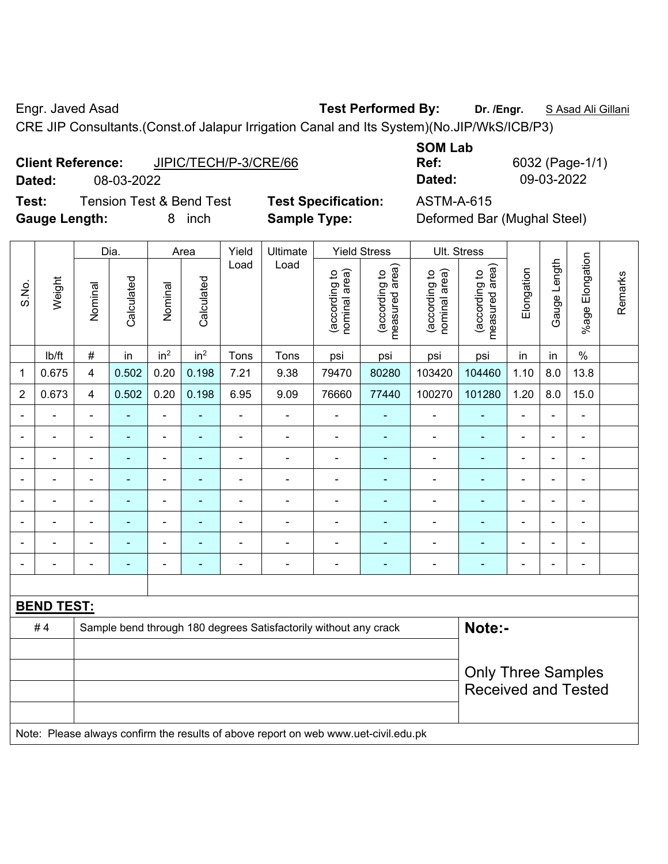Engr. Javed Asad **Test Performed By:** Dr. /Engr. **SAsad Ali Gillani** Collection Association Collection Association

CRE JIP Consultants.(Const.of Jalapur Irrigation Canal and Its System)(No.JIP/WkS/ICB/P3)

| <b>Client Reference:</b> |            | JIPIC/TECH/P-3/CRE/66 |
|--------------------------|------------|-----------------------|
| Dated:                   | 08-03-2022 |                       |

**Test:** Tension Test & Bend Test **Test Specification:** ASTM-A-615 **Gauge Length:** 8 inch **Sample Type:** Deformed Bar (Mughal Steel)

**SOM Lab Ref:** 6032 (Page-1/1) **Dated:** 08-03-2022 **Dated:** 09-03-2022

|                              |                   |                         | Dia.           |                          | Area            | Yield                        | Ultimate                                                         |                                | <b>Yield Stress</b>               |                                | Ult. Stress                     |                          |                          |                          |         |
|------------------------------|-------------------|-------------------------|----------------|--------------------------|-----------------|------------------------------|------------------------------------------------------------------|--------------------------------|-----------------------------------|--------------------------------|---------------------------------|--------------------------|--------------------------|--------------------------|---------|
| S.No.                        | Weight            | Nominal                 | Calculated     | Nominal                  | Calculated      | Load                         | Load                                                             | nominal area)<br>(according to | area)<br>according to<br>measured | nominal area)<br>(according to | measured area)<br>(according to | Elongation               | Gauge Length             | %age Elongation          | Remarks |
|                              | lb/ft             | $\#$                    | in             | in <sup>2</sup>          | in <sup>2</sup> | Tons                         | Tons                                                             | psi                            | psi                               | psi                            | psi                             | in                       | in                       | $\frac{0}{0}$            |         |
| 1                            | 0.675             | $\overline{\mathbf{4}}$ | 0.502          | 0.20                     | 0.198           | 7.21                         | 9.38                                                             | 79470                          | 80280                             | 103420                         | 104460                          | 1.10                     | 8.0                      | 13.8                     |         |
| $\overline{2}$               | 0.673             | $\overline{\mathbf{4}}$ | 0.502          | 0.20                     | 0.198           | 6.95                         | 9.09                                                             | 76660                          | 77440                             | 100270                         | 101280                          | 1.20                     | 8.0                      | 15.0                     |         |
| $\blacksquare$               | $\blacksquare$    | $\blacksquare$          | $\blacksquare$ | $\blacksquare$           | $\blacksquare$  | $\blacksquare$               | $\blacksquare$                                                   | $\blacksquare$                 | $\blacksquare$                    | $\blacksquare$                 | $\blacksquare$                  | $\blacksquare$           | $\overline{\phantom{0}}$ | $\blacksquare$           |         |
| $\blacksquare$               | $\blacksquare$    | $\blacksquare$          | $\blacksquare$ | $\overline{\phantom{a}}$ | ۰               | $\blacksquare$               | ÷                                                                | $\overline{a}$                 | $\blacksquare$                    | $\overline{\phantom{a}}$       | $\blacksquare$                  | $\overline{\phantom{a}}$ | $\blacksquare$           | $\blacksquare$           |         |
| $\blacksquare$               | $\blacksquare$    | $\blacksquare$          | ۰              | $\overline{\phantom{0}}$ | ۰               | $\qquad \qquad \blacksquare$ | $\blacksquare$                                                   | $\qquad \qquad \blacksquare$   | $\overline{\phantom{a}}$          | $\blacksquare$                 | $\blacksquare$                  | $\overline{\phantom{a}}$ | $\blacksquare$           | $\overline{\phantom{a}}$ |         |
| $\overline{\phantom{0}}$     |                   | $\blacksquare$          |                | $\blacksquare$           | ۰               | Ē,                           | $\blacksquare$                                                   | $\blacksquare$                 | ä,                                | ٠                              | Ē.                              | $\overline{\phantom{a}}$ | $\blacksquare$           | $\blacksquare$           |         |
| $\blacksquare$               | $\blacksquare$    | $\blacksquare$          | $\blacksquare$ | $\overline{\phantom{a}}$ | ۰               | $\blacksquare$               | ÷                                                                | $\blacksquare$                 | $\overline{\phantom{a}}$          | $\blacksquare$                 | ٠                               | $\overline{\phantom{a}}$ | $\blacksquare$           | $\overline{\phantom{a}}$ |         |
| $\blacksquare$               | $\blacksquare$    | $\blacksquare$          | $\blacksquare$ | $\blacksquare$           | ä,              | $\blacksquare$               | ä,                                                               | $\blacksquare$                 | $\blacksquare$                    | $\blacksquare$                 | $\blacksquare$                  | $\blacksquare$           | $\blacksquare$           | $\blacksquare$           |         |
| $\qquad \qquad \blacksquare$ | $\blacksquare$    | $\blacksquare$          | $\blacksquare$ | $\blacksquare$           | ۰               | $\qquad \qquad \blacksquare$ | $\blacksquare$                                                   | $\qquad \qquad \blacksquare$   | $\overline{\phantom{a}}$          | $\overline{a}$                 | ۰                               | $\blacksquare$           | $\blacksquare$           | $\blacksquare$           |         |
| $\blacksquare$               |                   | $\overline{a}$          |                | $\overline{\phantom{a}}$ | ۰               | ۰                            | $\blacksquare$                                                   | $\blacksquare$                 | ÷                                 | $\overline{a}$                 | ۰                               | $\blacksquare$           | $\blacksquare$           | $\blacksquare$           |         |
|                              |                   |                         |                |                          |                 |                              |                                                                  |                                |                                   |                                |                                 |                          |                          |                          |         |
|                              | <b>BEND TEST:</b> |                         |                |                          |                 |                              |                                                                  |                                |                                   |                                |                                 |                          |                          |                          |         |
|                              | #4                |                         |                |                          |                 |                              | Sample bend through 180 degrees Satisfactorily without any crack |                                |                                   |                                | Note:-                          |                          |                          |                          |         |
|                              |                   |                         |                |                          |                 |                              |                                                                  |                                |                                   |                                |                                 |                          |                          |                          |         |
|                              |                   |                         |                |                          |                 |                              | <b>Only Three Samples</b><br><b>Received and Tested</b>          |                                |                                   |                                |                                 |                          |                          |                          |         |

Note: Please always confirm the results of above report on web www.uet-civil.edu.pk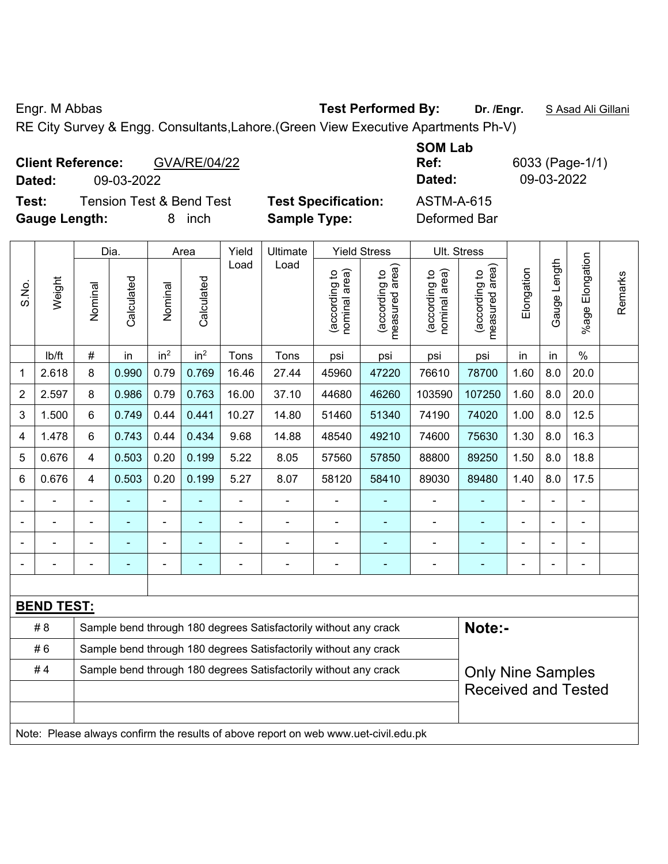Engr. M Abbas **Test Performed By: Dr. /Engr.** S Asad Ali Gillani

RE City Survey & Engg. Consultants,Lahore.(Green View Executive Apartments Ph-V)

| <b>Client Reference:</b><br>GVA/RE/04/22<br>09-03-2022<br>Dated:             |                                                   | <b>SOM Lab</b><br>6033 (Page-1/1)<br>Ref:<br>09-03-2022<br>Dated: |
|------------------------------------------------------------------------------|---------------------------------------------------|-------------------------------------------------------------------|
| <b>Tension Test &amp; Bend Test</b><br>Test:<br><b>Gauge Length:</b><br>inch | <b>Test Specification:</b><br><b>Sample Type:</b> | ASTM-A-615<br>Deformed Bar                                        |

|                |                   | Dia.                                                             |            | Area                         |                 | Yield | Ultimate                                                                            |                                | <b>Yield Stress</b>                         |                                | Ult. Stress                                 |                            |              |                       |         |  |  |
|----------------|-------------------|------------------------------------------------------------------|------------|------------------------------|-----------------|-------|-------------------------------------------------------------------------------------|--------------------------------|---------------------------------------------|--------------------------------|---------------------------------------------|----------------------------|--------------|-----------------------|---------|--|--|
| S.No.          | Weight            | Nominal                                                          | Calculated | Nominal                      | Calculated      | Load  | Load                                                                                | nominal area)<br>(according to | (according to<br>measured area)<br>measured | nominal area)<br>(according to | (according to<br>measured area)<br>measured | Elongation                 | Gauge Length | Elongation<br>$%$ age | Remarks |  |  |
|                | lb/ft             | $\#$                                                             | in         | in <sup>2</sup>              | in <sup>2</sup> | Tons  | Tons                                                                                | psi                            | psi                                         | psi                            | psi                                         | in                         | in           | $\%$                  |         |  |  |
| 1              | 2.618             | 8                                                                | 0.990      | 0.79                         | 0.769           | 16.46 | 27.44                                                                               | 45960                          | 47220                                       | 76610                          | 78700                                       | 1.60                       | 8.0          | 20.0                  |         |  |  |
| $\overline{2}$ | 2.597             | 8                                                                | 0.986      | 0.79                         | 0.763           | 16.00 | 37.10                                                                               | 44680                          | 46260                                       | 103590                         | 107250                                      | 1.60                       | 8.0          | 20.0                  |         |  |  |
| 3              | 1.500             | 6                                                                | 0.749      | 0.44                         | 0.441           | 10.27 | 14.80                                                                               | 51460                          | 51340                                       | 74190                          | 74020                                       | 1.00                       | 8.0          | 12.5                  |         |  |  |
| 4              | 1.478             | 6                                                                | 0.743      | 0.44                         | 0.434           | 9.68  | 14.88                                                                               | 48540                          | 49210                                       | 74600                          | 75630                                       | 1.30                       | 8.0          | 16.3                  |         |  |  |
| 5              | 0.676             | $\overline{4}$                                                   | 0.503      | 0.20                         | 0.199           | 5.22  | 8.05                                                                                | 57560                          | 57850                                       | 88800                          | 89250                                       | 1.50                       | 8.0          | 18.8                  |         |  |  |
| 6              | 0.676             | $\overline{4}$                                                   | 0.503      | 0.20                         | 0.199           | 5.27  | 8.07                                                                                | 58120                          | 58410                                       | 89030                          | 89480                                       | 1.40                       | 8.0          | 17.5                  |         |  |  |
|                |                   |                                                                  |            | ä,                           |                 |       | $\overline{a}$                                                                      |                                |                                             | $\blacksquare$                 | $\blacksquare$                              |                            |              |                       |         |  |  |
|                |                   |                                                                  |            | $\blacksquare$               |                 |       | $\blacksquare$                                                                      | ä,                             |                                             |                                |                                             |                            |              |                       |         |  |  |
|                |                   |                                                                  | ۰          | $\qquad \qquad \blacksquare$ |                 |       | $\blacksquare$                                                                      |                                | ۰                                           | $\blacksquare$                 | ٠                                           |                            |              | $\blacksquare$        |         |  |  |
|                |                   |                                                                  | ۰          | ÷                            |                 |       | ÷                                                                                   | ä,                             | ÷                                           | $\overline{\phantom{a}}$       | $\blacksquare$                              | $\blacksquare$             |              | ÷                     |         |  |  |
|                |                   |                                                                  |            |                              |                 |       |                                                                                     |                                |                                             |                                |                                             |                            |              |                       |         |  |  |
|                | <b>BEND TEST:</b> |                                                                  |            |                              |                 |       |                                                                                     |                                |                                             |                                |                                             |                            |              |                       |         |  |  |
|                | # 8               |                                                                  |            |                              |                 |       | Sample bend through 180 degrees Satisfactorily without any crack                    |                                |                                             |                                | Note:-                                      |                            |              |                       |         |  |  |
|                | #6                |                                                                  |            |                              |                 |       | Sample bend through 180 degrees Satisfactorily without any crack                    |                                |                                             |                                |                                             |                            |              |                       |         |  |  |
|                | #4                | Sample bend through 180 degrees Satisfactorily without any crack |            |                              |                 |       |                                                                                     |                                |                                             |                                |                                             | <b>Only Nine Samples</b>   |              |                       |         |  |  |
|                |                   |                                                                  |            |                              |                 |       |                                                                                     |                                |                                             |                                |                                             | <b>Received and Tested</b> |              |                       |         |  |  |
|                |                   |                                                                  |            |                              |                 |       |                                                                                     |                                |                                             |                                |                                             |                            |              |                       |         |  |  |
|                |                   |                                                                  |            |                              |                 |       | Note: Please always confirm the results of above report on web www.uet-civil.edu.pk |                                |                                             |                                |                                             |                            |              |                       |         |  |  |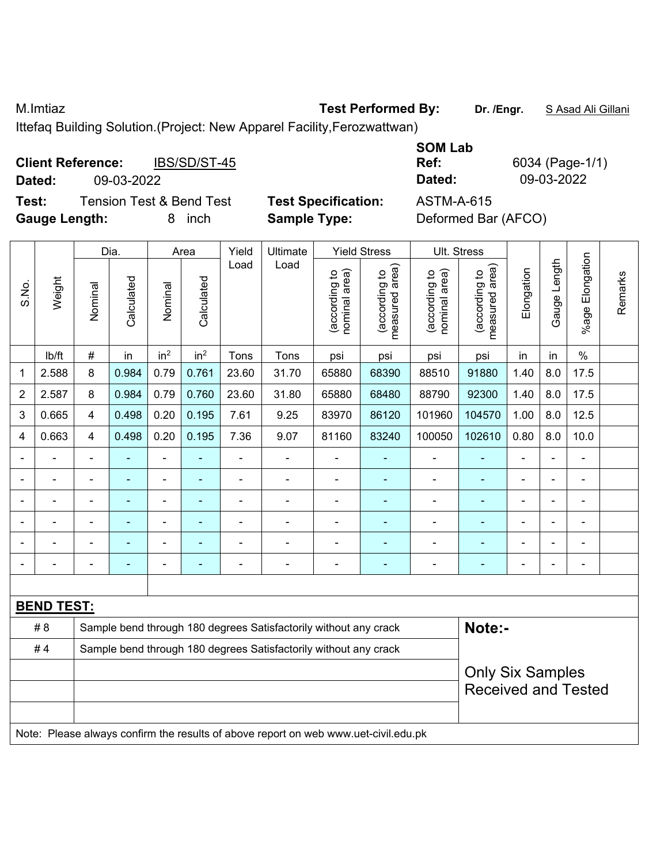M.Imtiaz **Test Performed By: Dr. /Engr.** S Asad Ali Gillani

Ittefaq Building Solution.(Project: New Apparel Facility,Ferozwattwan)

|        | <b>Client Reference:</b> | IBS/SD/ST-45                        |     |
|--------|--------------------------|-------------------------------------|-----|
| Dated: | 09-03-2022               |                                     |     |
| Test:  |                          | <b>Tension Test &amp; Bend Test</b> | Tes |

**Test: Specification:** ASTM-A-615 **Gauge Length:** 8 inch **Sample Type:** Deformed Bar (AFCO)

**SOM Lab Ref:** 6034 (Page-1/1) **Dated:** 09-03-2022 **Dated:** 09-03-2022

|                         |                   |                | Dia.                                                             | Area            |                 | Yield          | Ultimate                                                         |                                | <b>Yield Stress</b>             | Ult. Stress                    |                                 |                          |                          |                 |         |  |  |  |
|-------------------------|-------------------|----------------|------------------------------------------------------------------|-----------------|-----------------|----------------|------------------------------------------------------------------|--------------------------------|---------------------------------|--------------------------------|---------------------------------|--------------------------|--------------------------|-----------------|---------|--|--|--|
| S.No.                   | Weight            | Nominal        | Calculated                                                       | Nominal         | Calculated      | Load           | Load                                                             | nominal area)<br>(according to | measured area)<br>(according to | nominal area)<br>(according to | measured area)<br>(according to | Elongation               | Gauge Length             | %age Elongation | Remarks |  |  |  |
|                         | lb/ft             | $\#$           | in                                                               | in <sup>2</sup> | in <sup>2</sup> | Tons           | Tons                                                             | psi                            | psi                             | psi                            | psi                             | in                       | in                       | $\%$            |         |  |  |  |
| $\mathbf{1}$            | 2.588             | 8              | 0.984                                                            | 0.79            | 0.761           | 23.60          | 31.70                                                            | 65880                          | 68390                           | 88510                          | 91880                           | 1.40                     | 8.0                      | 17.5            |         |  |  |  |
| $\overline{2}$          | 2.587             | 8              | 0.984                                                            | 0.79            | 0.760           | 23.60          | 31.80                                                            | 65880                          | 68480                           | 88790                          | 92300                           | 1.40                     | 8.0                      | 17.5            |         |  |  |  |
| $\mathbf{3}$            | 0.665             | 4              | 0.498                                                            | 0.20            | 0.195           | 7.61           | 9.25                                                             | 83970                          | 86120                           | 101960                         | 104570                          | 1.00                     | 8.0                      | 12.5            |         |  |  |  |
| $\overline{\mathbf{4}}$ | 0.663             | 4              | 0.498                                                            | 0.20            | 0.195           | 7.36           | 9.07                                                             | 81160                          | 83240                           | 100050                         | 102610                          | 0.80                     | 8.0                      | 10.0            |         |  |  |  |
|                         |                   |                |                                                                  |                 |                 |                |                                                                  |                                |                                 |                                |                                 |                          |                          |                 |         |  |  |  |
|                         |                   |                | -                                                                | $\blacksquare$  | ۰               | $\blacksquare$ | $\blacksquare$                                                   | $\blacksquare$                 | ä,                              |                                |                                 | $\blacksquare$           | ÷.                       | $\blacksquare$  |         |  |  |  |
|                         | $\blacksquare$    | $\blacksquare$ | $\blacksquare$                                                   | $\blacksquare$  | $\blacksquare$  | $\blacksquare$ | $\blacksquare$                                                   | $\blacksquare$                 | ٠                               | $\blacksquare$                 | ٠                               | $\overline{\phantom{a}}$ | $\blacksquare$           | $\blacksquare$  |         |  |  |  |
|                         |                   |                |                                                                  |                 |                 |                |                                                                  |                                |                                 |                                |                                 |                          | ۰                        |                 |         |  |  |  |
|                         |                   |                | -                                                                |                 |                 |                | $\overline{a}$                                                   |                                | ۳                               |                                |                                 |                          | $\overline{\phantom{0}}$ | ۰               |         |  |  |  |
|                         |                   |                | ۳                                                                |                 | $\blacksquare$  | ٠              | $\blacksquare$                                                   | $\blacksquare$                 | $\overline{a}$                  | $\blacksquare$                 |                                 | $\blacksquare$           | $\blacksquare$           |                 |         |  |  |  |
|                         |                   |                |                                                                  |                 |                 |                |                                                                  |                                |                                 |                                |                                 |                          |                          |                 |         |  |  |  |
|                         | <b>BEND TEST:</b> |                |                                                                  |                 |                 |                |                                                                  |                                |                                 |                                |                                 |                          |                          |                 |         |  |  |  |
|                         | # 8               |                |                                                                  |                 |                 |                | Sample bend through 180 degrees Satisfactorily without any crack |                                |                                 |                                | Note:-                          |                          |                          |                 |         |  |  |  |
|                         | #4                |                | Sample bend through 180 degrees Satisfactorily without any crack |                 |                 |                |                                                                  |                                |                                 |                                |                                 |                          |                          |                 |         |  |  |  |
|                         |                   |                |                                                                  |                 |                 |                | <b>Only Six Samples</b>                                          |                                |                                 |                                |                                 |                          |                          |                 |         |  |  |  |
|                         |                   |                |                                                                  |                 |                 |                | <b>Received and Tested</b>                                       |                                |                                 |                                |                                 |                          |                          |                 |         |  |  |  |
|                         |                   |                |                                                                  |                 |                 |                |                                                                  |                                |                                 |                                |                                 |                          |                          |                 |         |  |  |  |

Note: Please always confirm the results of above report on web www.uet-civil.edu.pk